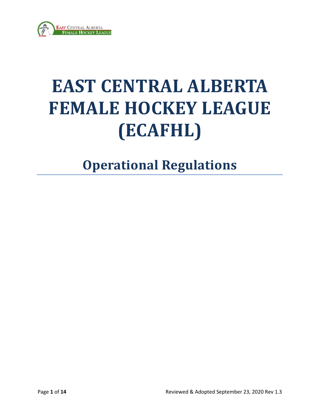

# EAST CENTRAL ALBERTA FEMALE HOCKEY LEAGUE (ECAFHL)

# Operational Regulations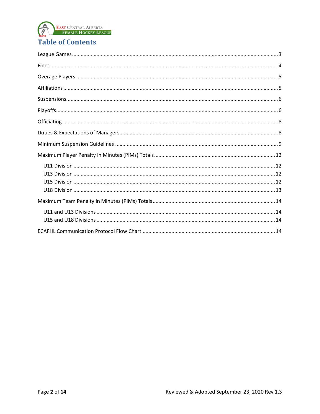

# **Table of Contents**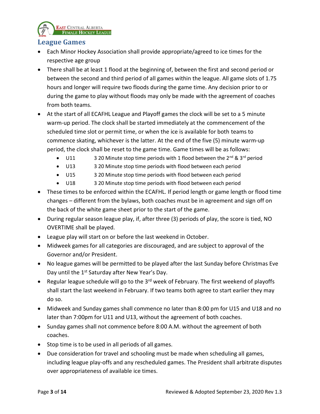

#### League Games

- Each Minor Hockey Association shall provide appropriate/agreed to ice times for the respective age group
- There shall be at least 1 flood at the beginning of, between the first and second period or between the second and third period of all games within the league. All game slots of 1.75 hours and longer will require two floods during the game time. Any decision prior to or during the game to play without floods may only be made with the agreement of coaches from both teams.
- At the start of all ECAFHL League and Playoff games the clock will be set to a 5 minute warm-up period. The clock shall be started immediately at the commencement of the scheduled time slot or permit time, or when the ice is available for both teams to commence skating, whichever is the latter. At the end of the five (5) minute warm-up period, the clock shall be reset to the game time. Game times will be as follows:
	- $\bullet$  U11 3 20 Minute stop time periods with 1 flood between the 2<sup>nd</sup> & 3<sup>rd</sup> period
	- U13 3 20 Minute stop time periods with flood between each period
	- U15 3 20 Minute stop time periods with flood between each period
	- U18 3 20 Minute stop time periods with flood between each period
- These times to be enforced within the ECAFHL. If period length or game length or flood time changes – different from the bylaws, both coaches must be in agreement and sign off on the back of the white game sheet prior to the start of the game.
- During regular season league play, if, after three (3) periods of play, the score is tied, NO OVERTIME shall be played.
- League play will start on or before the last weekend in October.
- Midweek games for all categories are discouraged, and are subject to approval of the Governor and/or President.
- No league games will be permitted to be played after the last Sunday before Christmas Eve Day until the 1<sup>st</sup> Saturday after New Year's Day.
- Regular league schedule will go to the  $3<sup>rd</sup>$  week of February. The first weekend of playoffs shall start the last weekend in February. If two teams both agree to start earlier they may do so.
- Midweek and Sunday games shall commence no later than 8:00 pm for U15 and U18 and no later than 7:00pm for U11 and U13, without the agreement of both coaches.
- Sunday games shall not commence before 8:00 A.M. without the agreement of both coaches.
- Stop time is to be used in all periods of all games.
- Due consideration for travel and schooling must be made when scheduling all games, including league play-offs and any rescheduled games. The President shall arbitrate disputes over appropriateness of available ice times.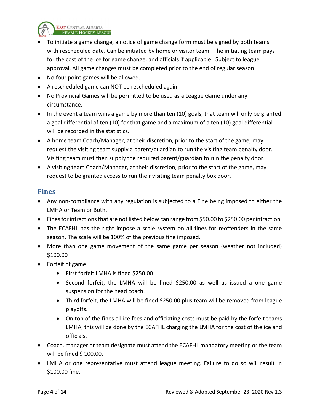

- To initiate a game change, a notice of game change form must be signed by both teams with rescheduled date. Can be initiated by home or visitor team. The initiating team pays for the cost of the ice for game change, and officials if applicable. Subject to league approval. All game changes must be completed prior to the end of regular season.
- No four point games will be allowed.
- A rescheduled game can NOT be rescheduled again.
- No Provincial Games will be permitted to be used as a League Game under any circumstance.
- $\bullet$  In the event a team wins a game by more than ten (10) goals, that team will only be granted a goal differential of ten (10) for that game and a maximum of a ten (10) goal differential will be recorded in the statistics.
- A home team Coach/Manager, at their discretion, prior to the start of the game, may request the visiting team supply a parent/guardian to run the visiting team penalty door. Visiting team must then supply the required parent/guardian to run the penalty door.
- A visiting team Coach/Manager, at their discretion, prior to the start of the game, may request to be granted access to run their visiting team penalty box door.

## Fines

- Any non-compliance with any regulation is subjected to a Fine being imposed to either the LMHA or Team or Both.
- Fines for infractions that are not listed below can range from \$50.00 to \$250.00 per infraction.
- The ECAFHL has the right impose a scale system on all fines for reoffenders in the same season. The scale will be 100% of the previous fine imposed.
- More than one game movement of the same game per season (weather not included) \$100.00
- Forfeit of game
	- First forfeit LMHA is fined \$250.00
	- Second forfeit, the LMHA will be fined \$250.00 as well as issued a one game suspension for the head coach.
	- Third forfeit, the LMHA will be fined \$250.00 plus team will be removed from league playoffs.
	- On top of the fines all ice fees and officiating costs must be paid by the forfeit teams LMHA, this will be done by the ECAFHL charging the LMHA for the cost of the ice and officials.
- Coach, manager or team designate must attend the ECAFHL mandatory meeting or the team will be fined \$ 100.00.
- LMHA or one representative must attend league meeting. Failure to do so will result in \$100.00 fine.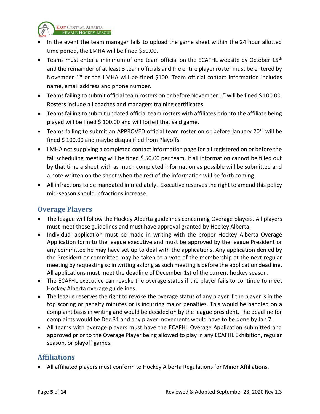

- In the event the team manager fails to upload the game sheet within the 24 hour allotted time period, the LMHA will be fined \$50.00.
- Teams must enter a minimum of one team official on the ECAFHL website by October 15<sup>th</sup> and the remainder of at least 3 team officials and the entire player roster must be entered by November 1<sup>st</sup> or the LMHA will be fined \$100. Team official contact information includes name, email address and phone number.
- Teams failing to submit official team rosters on or before November 1<sup>st</sup> will be fined \$100.00. Rosters include all coaches and managers training certificates.
- Teams failing to submit updated official team rosters with affiliates prior to the affiliate being played will be fined \$ 100.00 and will forfeit that said game.
- Teams failing to submit an APPROVED official team roster on or before January 20<sup>th</sup> will be fined \$ 100.00 and maybe disqualified from Playoffs.
- LMHA not supplying a completed contact information page for all registered on or before the fall scheduling meeting will be fined \$50.00 per team. If all information cannot be filled out by that time a sheet with as much completed information as possible will be submitted and a note written on the sheet when the rest of the information will be forth coming.
- All infractions to be mandated immediately. Executive reserves the right to amend this policy mid-season should infractions increase.

# Overage Players

- The league will follow the Hockey Alberta guidelines concerning Overage players. All players must meet these guidelines and must have approval granted by Hockey Alberta.
- Individual application must be made in writing with the proper Hockey Alberta Overage Application form to the league executive and must be approved by the league President or any committee he may have set up to deal with the applications. Any application denied by the President or committee may be taken to a vote of the membership at the next regular meeting by requesting so in writing as long as such meeting is before the application deadline. All applications must meet the deadline of December 1st of the current hockey season.
- The ECAFHL executive can revoke the overage status if the player fails to continue to meet Hockey Alberta overage guidelines.
- The league reserves the right to revoke the overage status of any player if the player is in the top scoring or penalty minutes or is incurring major penalties. This would be handled on a complaint basis in writing and would be decided on by the league president. The deadline for complaints would be Dec.31 and any player movements would have to be done by Jan 7.
- All teams with overage players must have the ECAFHL Overage Application submitted and approved prior to the Overage Player being allowed to play in any ECAFHL Exhibition, regular season, or playoff games.

# Affiliations

All affiliated players must conform to Hockey Alberta Regulations for Minor Affiliations.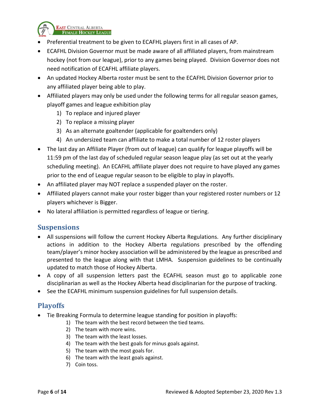

- Preferential treatment to be given to ECAFHL players first in all cases of AP.
- ECAFHL Division Governor must be made aware of all affiliated players, from mainstream hockey (not from our league), prior to any games being played. Division Governor does not need notification of ECAFHL affiliate players.
- An updated Hockey Alberta roster must be sent to the ECAFHL Division Governor prior to any affiliated player being able to play.
- Affiliated players may only be used under the following terms for all regular season games, playoff games and league exhibition play
	- 1) To replace and injured player
	- 2) To replace a missing player
	- 3) As an alternate goaltender (applicable for goaltenders only)
	- 4) An undersized team can affiliate to make a total number of 12 roster players
- The last day an Affiliate Player (from out of league) can qualify for league playoffs will be 11:59 pm of the last day of scheduled regular season league play (as set out at the yearly scheduling meeting). An ECAFHL affiliate player does not require to have played any games prior to the end of League regular season to be eligible to play in playoffs.
- An affiliated player may NOT replace a suspended player on the roster.
- Affiliated players cannot make your roster bigger than your registered roster numbers or 12 players whichever is Bigger.
- No lateral affiliation is permitted regardless of league or tiering.

#### **Suspensions**

- All suspensions will follow the current Hockey Alberta Regulations. Any further disciplinary actions in addition to the Hockey Alberta regulations prescribed by the offending team/player's minor hockey association will be administered by the league as prescribed and presented to the league along with that LMHA. Suspension guidelines to be continually updated to match those of Hockey Alberta.
- A copy of all suspension letters past the ECAFHL season must go to applicable zone disciplinarian as well as the Hockey Alberta head disciplinarian for the purpose of tracking.
- See the ECAFHL minimum suspension guidelines for full suspension details.

## Playoffs

- Tie Breaking Formula to determine league standing for position in playoffs:
	- 1) The team with the best record between the tied teams.
	- 2) The team with more wins.
	- 3) The team with the least losses.
	- 4) The team with the best goals for minus goals against.
	- 5) The team with the most goals for.
	- 6) The team with the least goals against.
	- 7) Coin toss.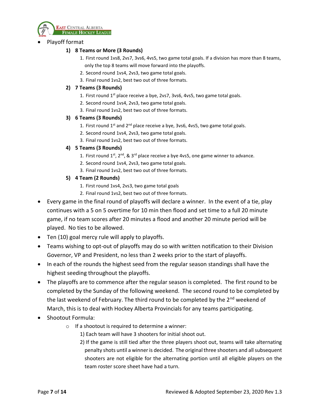

Playoff format

#### 1) 8 Teams or More (3 Rounds)

- 1. First round 1vs8, 2vs7, 3vs6, 4vs5, two game total goals. If a division has more than 8 teams, only the top 8 teams will move forward into the playoffs.
- 2. Second round 1vs4, 2vs3, two game total goals.
- 3. Final round 1vs2, best two out of three formats.

#### 2) 7 Teams (3 Rounds)

- 1. First round 1<sup>st</sup> place receive a bye, 2vs7, 3vs6, 4vs5, two game total goals.
- 2. Second round 1vs4, 2vs3, two game total goals.
- 3. Final round 1vs2, best two out of three formats.

#### 3) 6 Teams (3 Rounds)

- 1. First round  $1^{st}$  and  $2^{nd}$  place receive a bye, 3vs6, 4vs5, two game total goals.
- 2. Second round 1vs4, 2vs3, two game total goals.
- 3. Final round 1vs2, best two out of three formats.

#### 4) 5 Teams (3 Rounds)

- 1. First round  $1^{st}$ ,  $2^{nd}$ , &  $3^{rd}$  place receive a bye 4vs5, one game winner to advance.
- 2. Second round 1vs4, 2vs3, two game total goals.
- 3. Final round 1vs2, best two out of three formats.
- 5) 4 Team (2 Rounds)
	- 1. First round 1vs4, 2vs3, two game total goals
	- 2. Final round 1vs2, best two out of three formats.
- Every game in the final round of playoffs will declare a winner. In the event of a tie, play continues with a 5 on 5 overtime for 10 min then flood and set time to a full 20 minute game, if no team scores after 20 minutes a flood and another 20 minute period will be played. No ties to be allowed.
- Ten (10) goal mercy rule will apply to playoffs.
- Teams wishing to opt-out of playoffs may do so with written notification to their Division Governor, VP and President, no less than 2 weeks prior to the start of playoffs.
- In each of the rounds the highest seed from the regular season standings shall have the highest seeding throughout the playoffs.
- The playoffs are to commence after the regular season is completed. The first round to be completed by the Sunday of the following weekend. The second round to be completed by the last weekend of February. The third round to be completed by the 2<sup>nd</sup> weekend of March, this is to deal with Hockey Alberta Provincials for any teams participating.
- Shootout Formula:
	- o If a shootout is required to determine a winner:
		- 1) Each team will have 3 shooters for initial shoot out.
		- 2) If the game is still tied after the three players shoot out, teams will take alternating penalty shots until a winner is decided. The original three shooters and all subsequent shooters are not eligible for the alternating portion until all eligible players on the team roster score sheet have had a turn.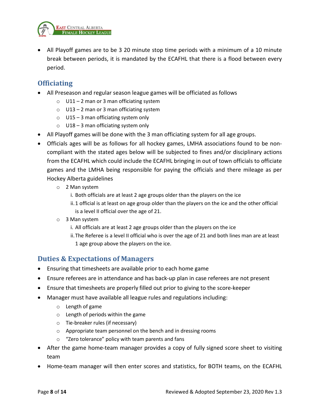

 All Playoff games are to be 3 20 minute stop time periods with a minimum of a 10 minute break between periods, it is mandated by the ECAFHL that there is a flood between every period.

# **Officiating**

- All Preseason and regular season league games will be officiated as follows
	- $\circ$  U11 2 man or 3 man officiating system
	- $\circ$  U13 2 man or 3 man officiating system
	- o U15 3 man officiating system only
	- $\circ$  U18 3 man officiating system only
- All Playoff games will be done with the 3 man officiating system for all age groups.
- Officials ages will be as follows for all hockey games, LMHA associations found to be noncompliant with the stated ages below will be subjected to fines and/or disciplinary actions from the ECAFHL which could include the ECAFHL bringing in out of town officials to officiate games and the LMHA being responsible for paying the officials and there mileage as per Hockey Alberta guidelines
	- o 2 Man system
		- i. Both officials are at least 2 age groups older than the players on the ice
		- ii.1 official is at least on age group older than the players on the ice and the other official is a level II official over the age of 21.
	- o 3 Man system
		- i. All officials are at least 2 age groups older than the players on the ice
		- ii.The Referee is a level II official who is over the age of 21 and both lines man are at least 1 age group above the players on the ice.

# Duties & Expectations of Managers

- Ensuring that timesheets are available prior to each home game
- Ensure referees are in attendance and has back-up plan in case referees are not present
- Ensure that timesheets are properly filled out prior to giving to the score-keeper
- Manager must have available all league rules and regulations including:
	- o Length of game
	- o Length of periods within the game
	- o Tie-breaker rules (if necessary)
	- o Appropriate team personnel on the bench and in dressing rooms
	- o "Zero tolerance" policy with team parents and fans
- After the game home-team manager provides a copy of fully signed score sheet to visiting team
- Home-team manager will then enter scores and statistics, for BOTH teams, on the ECAFHL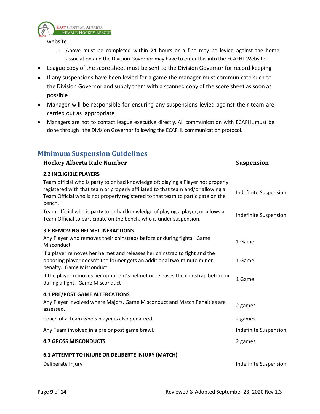

website.

- $\circ$  Above must be completed within 24 hours or a fine may be levied against the home association and the Division Governor may have to enter this into the ECAFHL Website
- League copy of the score sheet must be sent to the Division Governor for record keeping
- If any suspensions have been levied for a game the manager must communicate such to the Division Governor and supply them with a scanned copy of the score sheet as soon as possible
- Manager will be responsible for ensuring any suspensions levied against their team are carried out as appropriate
- Managers are not to contact league executive directly. All communication with ECAFHL must be done through the Division Governor following the ECAFHL communication protocol.

# Minimum Suspension Guidelines

| <b>Hockey Alberta Rule Number</b>                                                                                                                                                                                                                                                                                                                                                                                                                           | <b>Suspension</b>                              |
|-------------------------------------------------------------------------------------------------------------------------------------------------------------------------------------------------------------------------------------------------------------------------------------------------------------------------------------------------------------------------------------------------------------------------------------------------------------|------------------------------------------------|
| <b>2.2 INELIGIBLE PLAYERS</b><br>Team official who is party to or had knowledge of; playing a Player not properly<br>registered with that team or properly affiliated to that team and/or allowing a<br>Team Official who is not properly registered to that team to participate on the<br>bench.<br>Team official who is party to or had knowledge of playing a player, or allows a<br>Team Official to participate on the bench, who is under suspension. | Indefinite Suspension<br>Indefinite Suspension |
| <b>3.6 REMOVING HELMET INFRACTIONS</b><br>Any Player who removes their chinstraps before or during fights. Game<br>Misconduct                                                                                                                                                                                                                                                                                                                               | 1 Game                                         |
| If a player removes her helmet and releases her chinstrap to fight and the<br>opposing player doesn't the former gets an additional two-minute minor<br>penalty. Game Misconduct                                                                                                                                                                                                                                                                            | 1 Game                                         |
| If the player removes her opponent's helmet or releases the chinstrap before or<br>during a fight. Game Misconduct                                                                                                                                                                                                                                                                                                                                          | 1 Game                                         |
| <b>4.1 PRE/POST GAME ALTERCATIONS</b>                                                                                                                                                                                                                                                                                                                                                                                                                       |                                                |
| Any Player involved where Majors, Game Misconduct and Match Penalties are<br>assessed.                                                                                                                                                                                                                                                                                                                                                                      | 2 games                                        |
| Coach of a Team who's player is also penalized.                                                                                                                                                                                                                                                                                                                                                                                                             | 2 games                                        |
| Any Team involved in a pre or post game brawl.                                                                                                                                                                                                                                                                                                                                                                                                              | Indefinite Suspension                          |
| <b>4.7 GROSS MISCONDUCTS</b>                                                                                                                                                                                                                                                                                                                                                                                                                                | 2 games                                        |
| <b>6.1 ATTEMPT TO INJURE OR DELIBERTE INJURY (MATCH)</b>                                                                                                                                                                                                                                                                                                                                                                                                    |                                                |
| Deliberate Injury                                                                                                                                                                                                                                                                                                                                                                                                                                           | Indefinite Suspension                          |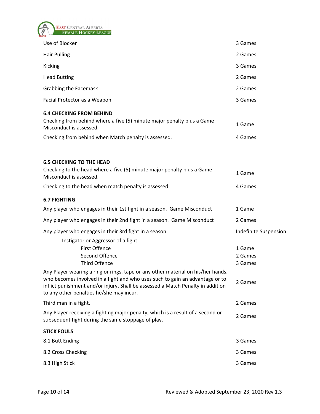

| Use of Blocker                                                                                                                                                                                                                                                                                  | 3 Games                                               |
|-------------------------------------------------------------------------------------------------------------------------------------------------------------------------------------------------------------------------------------------------------------------------------------------------|-------------------------------------------------------|
| <b>Hair Pulling</b>                                                                                                                                                                                                                                                                             | 2 Games                                               |
| Kicking                                                                                                                                                                                                                                                                                         | 3 Games                                               |
| <b>Head Butting</b>                                                                                                                                                                                                                                                                             | 2 Games                                               |
| <b>Grabbing the Facemask</b>                                                                                                                                                                                                                                                                    | 2 Games                                               |
| Facial Protector as a Weapon                                                                                                                                                                                                                                                                    | 3 Games                                               |
| <b>6.4 CHECKING FROM BEHIND</b><br>Checking from behind where a five (5) minute major penalty plus a Game<br>Misconduct is assessed.                                                                                                                                                            | 1 Game                                                |
| Checking from behind when Match penalty is assessed.                                                                                                                                                                                                                                            | 4 Games                                               |
| <b>6.5 CHECKING TO THE HEAD</b><br>Checking to the head where a five (5) minute major penalty plus a Game<br>Misconduct is assessed.                                                                                                                                                            | 1 Game                                                |
| Checking to the head when match penalty is assessed.                                                                                                                                                                                                                                            | 4 Games                                               |
| <b>6.7 FIGHTING</b>                                                                                                                                                                                                                                                                             |                                                       |
| Any player who engages in their 1st fight in a season. Game Misconduct                                                                                                                                                                                                                          | 1 Game                                                |
| Any player who engages in their 2nd fight in a season. Game Misconduct                                                                                                                                                                                                                          | 2 Games                                               |
| Any player who engages in their 3rd fight in a season.<br>Instigator or Aggressor of a fight.<br><b>First Offence</b><br>Second Offence<br><b>Third Offence</b>                                                                                                                                 | Indefinite Suspension<br>1 Game<br>2 Games<br>3 Games |
| Any Player wearing a ring or rings, tape or any other material on his/her hands,<br>who becomes involved in a fight and who uses such to gain an advantage or to<br>inflict punishment and/or injury. Shall be assessed a Match Penalty in addition<br>to any other penalties he/she may incur. | 2 Games                                               |
| Third man in a fight.                                                                                                                                                                                                                                                                           | 2 Games                                               |
| Any Player receiving a fighting major penalty, which is a result of a second or<br>subsequent fight during the same stoppage of play.                                                                                                                                                           | 2 Games                                               |
| <b>STICK FOULS</b>                                                                                                                                                                                                                                                                              |                                                       |
| 8.1 Butt Ending                                                                                                                                                                                                                                                                                 | 3 Games                                               |
| 8.2 Cross Checking                                                                                                                                                                                                                                                                              | 3 Games                                               |
| 8.3 High Stick                                                                                                                                                                                                                                                                                  | 3 Games                                               |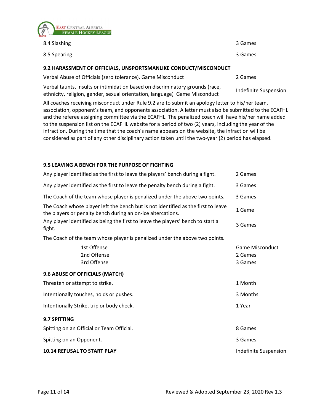

| 8.4 Slashing                                                    | 3 Games |  |  |
|-----------------------------------------------------------------|---------|--|--|
| 8.5 Spearing                                                    | 3 Games |  |  |
| 9.2 HARASSMENT OF OFFICIALS, UNSPORTSMANLIKE CONDUCT/MISCONDUCT |         |  |  |
| Verbal Abuse of Officials (zero tolerance). Game Misconduct     | 2 Games |  |  |

Verbal taunts, insults or intimidation based on discriminatory grounds (race, ethal taurits, insults of intimulation based on discriminatory grounds (race,<br>ethnicity, religion, gender, sexual orientation, language) Game Misconduct

All coaches receiving misconduct under Rule 9.2 are to submit an apology letter to his/her team, association, opponent's team, and opponents association. A letter must also be submitted to the ECAFHL and the referee assigning committee via the ECAFHL. The penalized coach will have his/her name added to the suspension list on the ECAFHL website for a period of two (2) years, including the year of the infraction. During the time that the coach's name appears on the website, the infraction will be considered as part of any other disciplinary action taken until the two-year (2) period has elapsed.

#### 9.5 LEAVING A BENCH FOR THE PURPOSE OF FIGHTING

| Any player identified as the first to leave the players' bench during a fight.                                                                   | 2 Games                                      |
|--------------------------------------------------------------------------------------------------------------------------------------------------|----------------------------------------------|
| Any player identified as the first to leave the penalty bench during a fight.                                                                    | 3 Games                                      |
| The Coach of the team whose player is penalized under the above two points.                                                                      | 3 Games                                      |
| The Coach whose player left the bench but is not identified as the first to leave<br>the players or penalty bench during an on-ice altercations. | 1 Game                                       |
| Any player identified as being the first to leave the players' bench to start a<br>fight.                                                        | 3 Games                                      |
| The Coach of the team whose player is penalized under the above two points.                                                                      |                                              |
| 1st Offense<br>2nd Offense<br>3rd Offense                                                                                                        | <b>Game Misconduct</b><br>2 Games<br>3 Games |
| 9.6 ABUSE OF OFFICIALS (MATCH)                                                                                                                   |                                              |
| Threaten or attempt to strike.                                                                                                                   | 1 Month                                      |
| Intentionally touches, holds or pushes.                                                                                                          | 3 Months                                     |
| Intentionally Strike, trip or body check.                                                                                                        | 1 Year                                       |
| 9.7 SPITTING                                                                                                                                     |                                              |
| Spitting on an Official or Team Official.                                                                                                        | 8 Games                                      |
| Spitting on an Opponent.                                                                                                                         | 3 Games                                      |
| <b>10.14 REFUSAL TO START PLAY</b>                                                                                                               | Indefinite Suspension                        |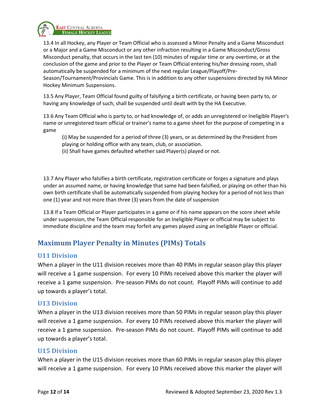

13.4 In all Hockey, any Player or Team Official who is assessed a Minor Penalty and a Game Misconduct or a Major and a Game Misconduct or any other infraction resulting in a Game Misconduct/Gross Misconduct penalty, that occurs in the last ten (10) minutes of regular time or any overtime, or at the conclusion of the game and prior to the Player or Team Official entering his/her dressing room, shall automatically be suspended for a minimum of the next regular League/Playoff/Pre-Season/Tournament/Provincials Game. This is in addition to any other suspensions directed by HA Minor Hockey Minimum Suspensions.

13.5 Any Player, Team Official found guilty of falsifying a birth certificate, or having been party to, or having any knowledge of such, shall be suspended until dealt with by the HA Executive.

13.6 Any Team Official who is party to, or had knowledge of, or adds an unregistered or Ineligible Player's name or unregistered team official or trainer's name to a game sheet for the purpose of competing in a game

(i) May be suspended for a period of three (3) years, or as determined by the President from playing or holding office with any team, club, or association.

(ii) Shall have games defaulted whether said Player(s) played or not.

13.7 Any Player who falsifies a birth certificate, registration certificate or forges a signature and plays under an assumed name, or having knowledge that same had been falsified, or playing on other than his own birth certificate shall be automatically suspended from playing hockey for a period of not less than one (1) year and not more than three (3) years from the date of suspension

13.8 If a Team Official or Player participates in a game or if his name appears on the score sheet while under suspension, the Team Official responsible for an Ineligible Player or official may be subject to immediate discipline and the team may forfeit any games played using an Ineligible Player or official.

# Maximum Player Penalty in Minutes (PIMs) Totals

#### U11 Division

When a player in the U11 division receives more than 40 PIMs in regular season play this player will receive a 1 game suspension. For every 10 PIMs received above this marker the player will receive a 1 game suspension. Pre-season PIMs do not count. Playoff PIMs will continue to add up towards a player's total.

#### U13 Division

When a player in the U13 division receives more than 50 PIMs in regular season play this player will receive a 1 game suspension. For every 10 PIMs received above this marker the player will receive a 1 game suspension. Pre-season PIMs do not count. Playoff PIMs will continue to add up towards a player's total.

#### U15 Division

When a player in the U15 division receives more than 60 PIMs in regular season play this player will receive a 1 game suspension. For every 10 PIMs received above this marker the player will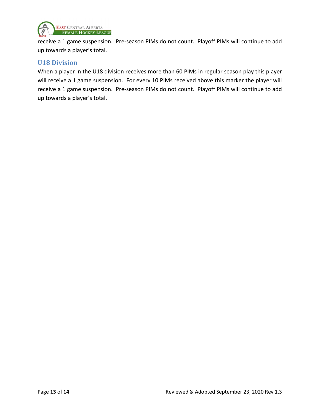

receive a 1 game suspension. Pre-season PIMs do not count. Playoff PIMs will continue to add up towards a player's total.

#### U18 Division

When a player in the U18 division receives more than 60 PIMs in regular season play this player will receive a 1 game suspension. For every 10 PIMs received above this marker the player will receive a 1 game suspension. Pre-season PIMs do not count. Playoff PIMs will continue to add up towards a player's total.